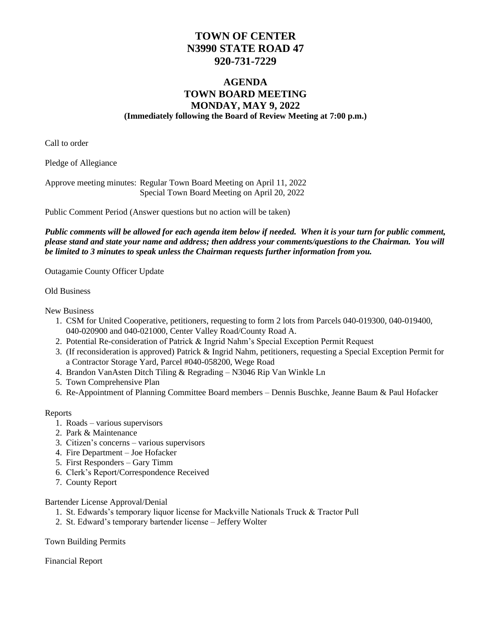## **TOWN OF CENTER N3990 STATE ROAD 47 920-731-7229**

## **AGENDA TOWN BOARD MEETING MONDAY, MAY 9, 2022 (Immediately following the Board of Review Meeting at 7:00 p.m.)**

Call to order

Pledge of Allegiance

Approve meeting minutes: Regular Town Board Meeting on April 11, 2022 Special Town Board Meeting on April 20, 2022

Public Comment Period (Answer questions but no action will be taken)

*Public comments will be allowed for each agenda item below if needed. When it is your turn for public comment, please stand and state your name and address; then address your comments/questions to the Chairman. You will be limited to 3 minutes to speak unless the Chairman requests further information from you.*

Outagamie County Officer Update

Old Business

New Business

- 1. CSM for United Cooperative, petitioners, requesting to form 2 lots from Parcels 040-019300, 040-019400, 040-020900 and 040-021000, Center Valley Road/County Road A.
- 2. Potential Re-consideration of Patrick & Ingrid Nahm's Special Exception Permit Request
- 3. (If reconsideration is approved) Patrick & Ingrid Nahm, petitioners, requesting a Special Exception Permit for a Contractor Storage Yard, Parcel #040-058200, Wege Road
- 4. Brandon VanAsten Ditch Tiling & Regrading N3046 Rip Van Winkle Ln
- 5. Town Comprehensive Plan
- 6. Re-Appointment of Planning Committee Board members Dennis Buschke, Jeanne Baum & Paul Hofacker

Reports

- 1. Roads various supervisors
- 2. Park & Maintenance
- 3. Citizen's concerns various supervisors
- 4. Fire Department Joe Hofacker
- 5. First Responders Gary Timm
- 6. Clerk's Report/Correspondence Received
- 7. County Report

Bartender License Approval/Denial

- 1. St. Edwards's temporary liquor license for Mackville Nationals Truck & Tractor Pull
- 2. St. Edward's temporary bartender license Jeffery Wolter

Town Building Permits

Financial Report